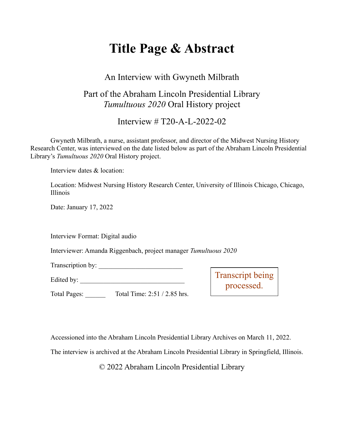# **Title Page & Abstract**

#### An Interview with Gwyneth Milbrath

### Part of the Abraham Lincoln Presidential Library *Tumultuous 2020* Oral History project

Interview # T20-A-L-2022-02

Gwyneth Milbrath, a nurse, assistant professor, and director of the Midwest Nursing History Research Center, was interviewed on the date listed below as part of the Abraham Lincoln Presidential Library's *Tumultuous 2020* Oral History project.

Interview dates & location:

Location: Midwest Nursing History Research Center, University of Illinois Chicago, Chicago, Illinois

Date: January 17, 2022

Interview Format: Digital audio

Interviewer: Amanda Riggenbach, project manager *Tumultuous 2020*

Transcription by: \_\_\_\_\_\_\_\_\_\_\_\_\_\_\_\_\_\_\_\_\_\_\_\_\_

Edited by: \_\_\_\_\_\_\_\_\_\_\_\_\_\_\_\_\_\_\_\_\_\_\_\_\_\_\_\_\_\_\_

Transcript being processed.

Total Pages: \_\_\_\_\_\_ Total Time: 2:51 / 2.85 hrs.

Accessioned into the Abraham Lincoln Presidential Library Archives on March 11, 2022.

The interview is archived at the Abraham Lincoln Presidential Library in Springfield, Illinois.

© 2022 Abraham Lincoln Presidential Library